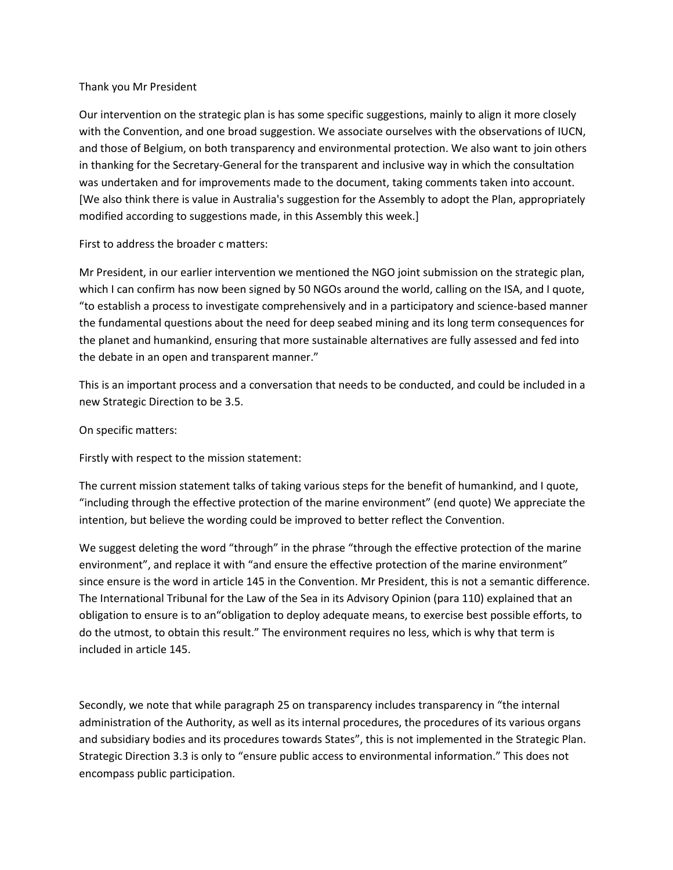## Thank you Mr President

Our intervention on the strategic plan is has some specific suggestions, mainly to align it more closely with the Convention, and one broad suggestion. We associate ourselves with the observations of IUCN, and those of Belgium, on both transparency and environmental protection. We also want to join others in thanking for the Secretary-General for the transparent and inclusive way in which the consultation was undertaken and for improvements made to the document, taking comments taken into account. [We also think there is value in Australia's suggestion for the Assembly to adopt the Plan, appropriately modified according to suggestions made, in this Assembly this week.]

First to address the broader c matters:

Mr President, in our earlier intervention we mentioned the NGO joint submission on the strategic plan, which I can confirm has now been signed by 50 NGOs around the world, calling on the ISA, and I quote, "to establish a process to investigate comprehensively and in a participatory and science-based manner the fundamental questions about the need for deep seabed mining and its long term consequences for the planet and humankind, ensuring that more sustainable alternatives are fully assessed and fed into the debate in an open and transparent manner."

This is an important process and a conversation that needs to be conducted, and could be included in a new Strategic Direction to be 3.5.

On specific matters:

Firstly with respect to the mission statement:

The current mission statement talks of taking various steps for the benefit of humankind, and I quote, "including through the effective protection of the marine environment" (end quote) We appreciate the intention, but believe the wording could be improved to better reflect the Convention.

We suggest deleting the word "through" in the phrase "through the effective protection of the marine environment", and replace it with "and ensure the effective protection of the marine environment" since ensure is the word in article 145 in the Convention. Mr President, this is not a semantic difference. The International Tribunal for the Law of the Sea in its Advisory Opinion (para 110) explained that an obligation to ensure is to an"obligation to deploy adequate means, to exercise best possible efforts, to do the utmost, to obtain this result." The environment requires no less, which is why that term is included in article 145.

Secondly, we note that while paragraph 25 on transparency includes transparency in "the internal administration of the Authority, as well as its internal procedures, the procedures of its various organs and subsidiary bodies and its procedures towards States", this is not implemented in the Strategic Plan. Strategic Direction 3.3 is only to "ensure public access to environmental information." This does not encompass public participation.